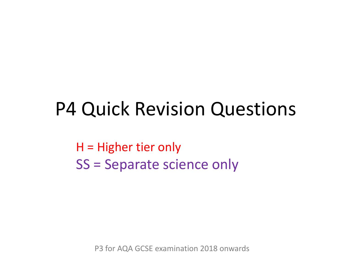## P4 Quick Revision Questions

H = Higher tier only SS = Separate science only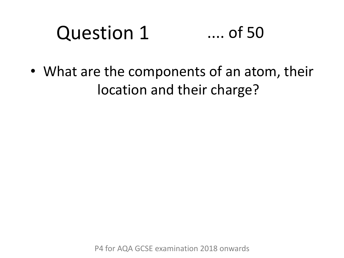#### Question 1 .... of 50

• What are the components of an atom, their location and their charge?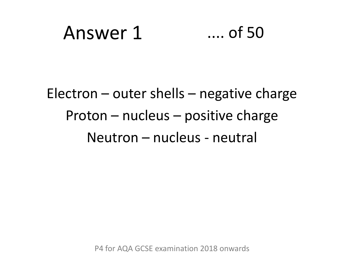## Answer 1 .... of 50

### Electron – outer shells – negative charge Proton – nucleus – positive charge Neutron – nucleus - neutral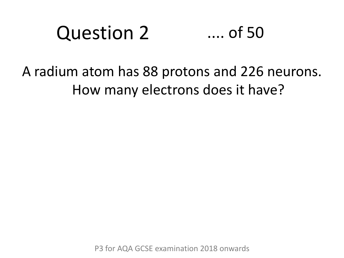#### Question 2 .... of 50

### A radium atom has 88 protons and 226 neurons. How many electrons does it have?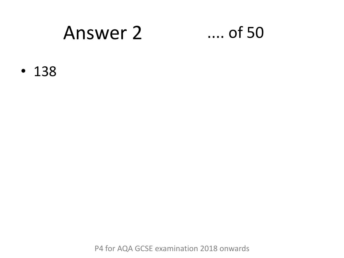### Answer 2 .... of 50

• 138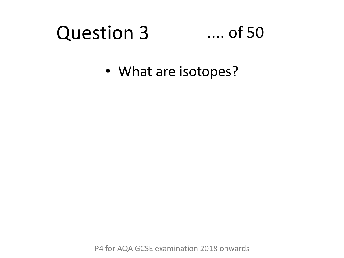#### Question 3 .... of 50

• What are isotopes?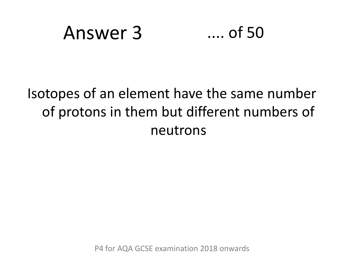## Answer 3 .... of 50

### Isotopes of an element have the same number of protons in them but different numbers of neutrons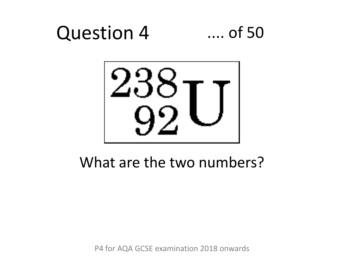## Question 4 .... of 50



### What are the two numbers?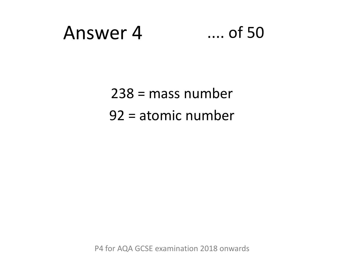## Answer 4 .... of 50

238 = mass number 92 = atomic number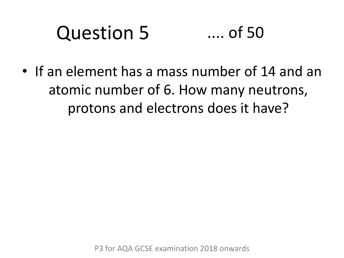#### Question 5 .... of 50

• If an element has a mass number of 14 and an atomic number of 6. How many neutrons, protons and electrons does it have?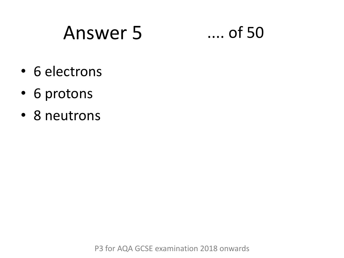## Answer 5 .... of 50

- 6 electrons
- 6 protons
- 8 neutrons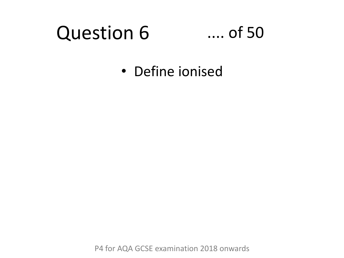## Question 6

### .... of 50

• Define ionised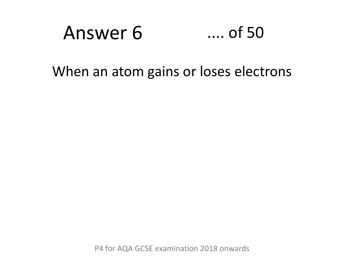## Answer 6 .... of 50

### When an atom gains or loses electrons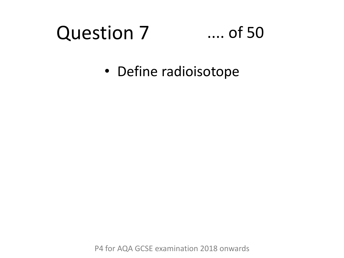## Question 7

### .... of 50

• Define radioisotope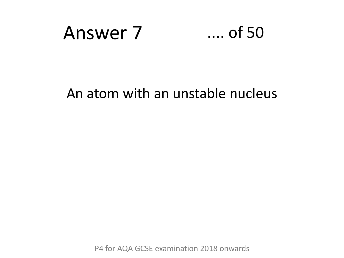

### An atom with an unstable nucleus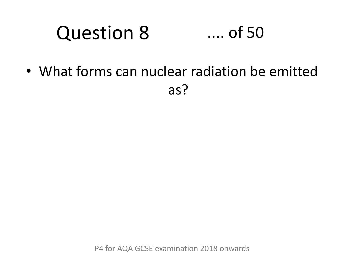#### Question 8 .... of 50

• What forms can nuclear radiation be emitted as?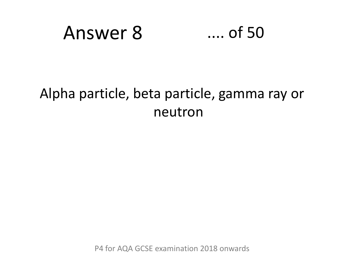

### Alpha particle, beta particle, gamma ray or neutron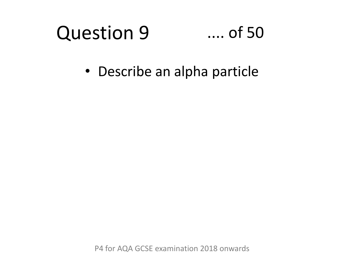#### Question 9 .... of 50

• Describe an alpha particle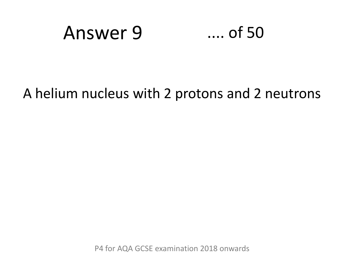

### A helium nucleus with 2 protons and 2 neutrons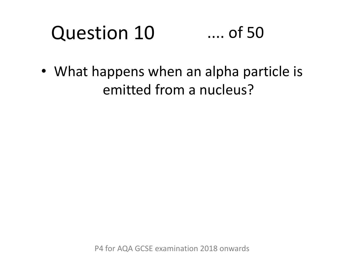### Question 10 .... of 50

• What happens when an alpha particle is emitted from a nucleus?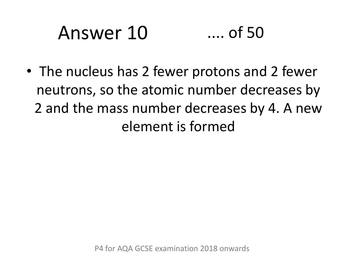# Answer 10 .... of 50

• The nucleus has 2 fewer protons and 2 fewer neutrons, so the atomic number decreases by 2 and the mass number decreases by 4. A new element is formed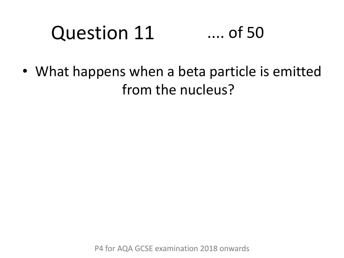### Question 11 .... of 50

• What happens when a beta particle is emitted from the nucleus?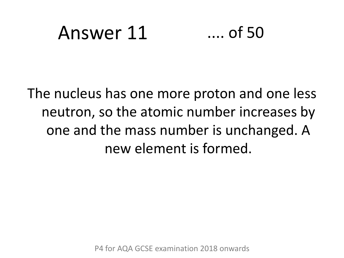## Answer 11 .... of 50

The nucleus has one more proton and one less neutron, so the atomic number increases by one and the mass number is unchanged. A new element is formed.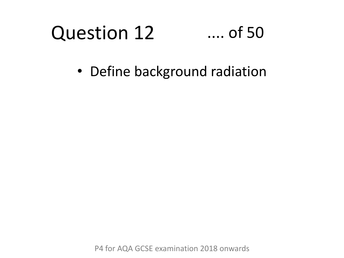### Question 12 .... of 50

• Define background radiation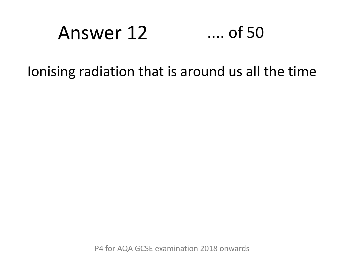## Answer 12 .... of 50

### Ionising radiation that is around us all the time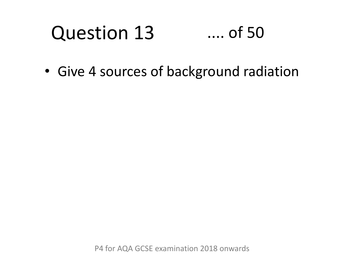#### Question 13 .... of 50

• Give 4 sources of background radiation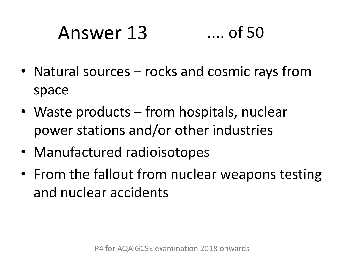# Answer 13 .... of 50

- Natural sources rocks and cosmic rays from space
- Waste products from hospitals, nuclear power stations and/or other industries
- Manufactured radioisotopes
- From the fallout from nuclear weapons testing and nuclear accidents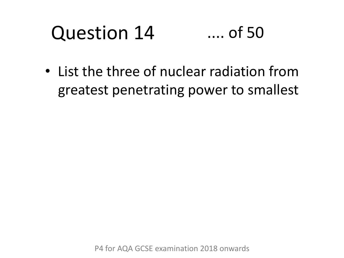### Question 14 .... of 50

• List the three of nuclear radiation from greatest penetrating power to smallest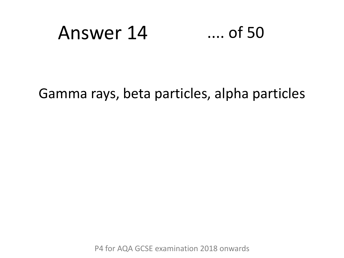## Answer 14 .... of 50

### Gamma rays, beta particles, alpha particles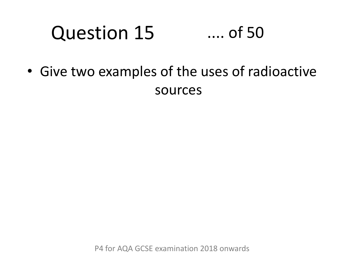### Question 15 .... of 50

• Give two examples of the uses of radioactive sources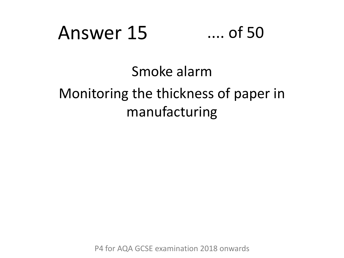## Answer 15 .... of 50

### Smoke alarm Monitoring the thickness of paper in manufacturing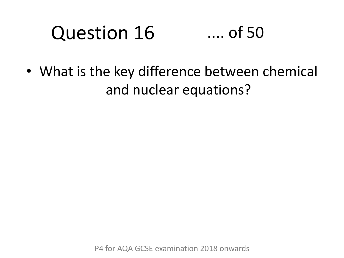### Question 16 .... of 50

• What is the key difference between chemical and nuclear equations?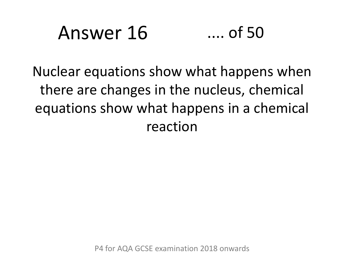## Answer 16 .... of 50

Nuclear equations show what happens when there are changes in the nucleus, chemical equations show what happens in a chemical reaction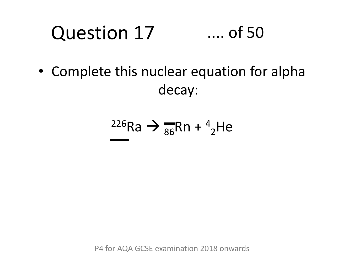### Question 17 .... of 50

• Complete this nuclear equation for alpha decay:

$$
\frac{226}{1}Ra \rightarrow \frac{1}{86}Rn + \frac{4}{2}He
$$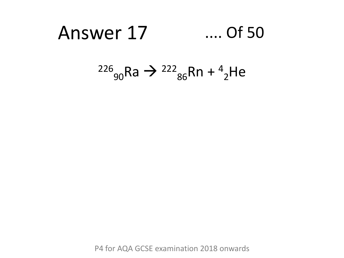## Answer 17 .... Of 50

### $^{226}$ <sub>90</sub>Ra →  $^{222}$ <sub>86</sub>Rn +  $^4$ <sub>2</sub>He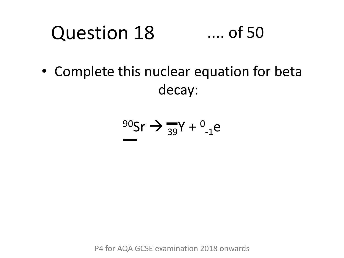#### Question 18 .... of 50

• Complete this nuclear equation for beta decay:

$$
\frac{90}{5} \text{ or } \Rightarrow \frac{1}{39} \text{Y} + \frac{0}{1} \text{e}
$$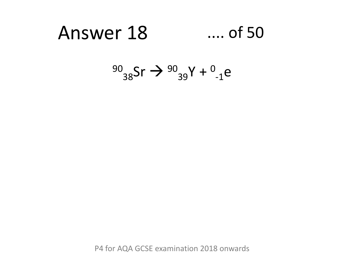#### Answer 18 .... of 50

$$
^{90}_{38}\text{Sr} \rightarrow ^{90}_{39}\text{Y} + ^{0}_{-1}\text{e}
$$

P4 for AQA GCSE examination 2018 onwards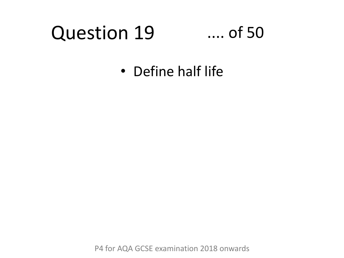### Question 19

#### .... of 50

• Define half life

P4 for AQA GCSE examination 2018 onwards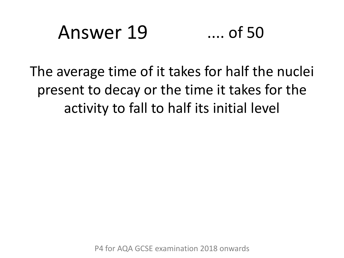### Answer 19 .... of 50

The average time of it takes for half the nuclei present to decay or the time it takes for the activity to fall to half its initial level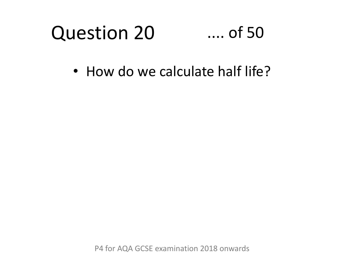#### Question 20 .... of 50

• How do we calculate half life?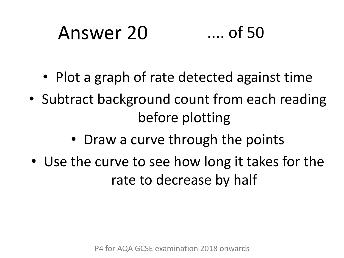# Answer 20 .... of 50

- Plot a graph of rate detected against time
- Subtract background count from each reading before plotting
	- Draw a curve through the points
- Use the curve to see how long it takes for the rate to decrease by half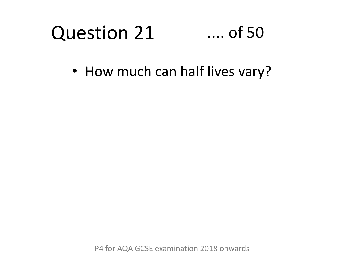#### Question 21 .... of 50

• How much can half lives vary?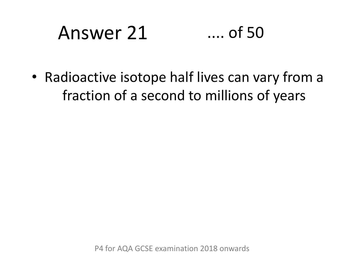# Answer 21 .... of 50

• Radioactive isotope half lives can vary from a fraction of a second to millions of years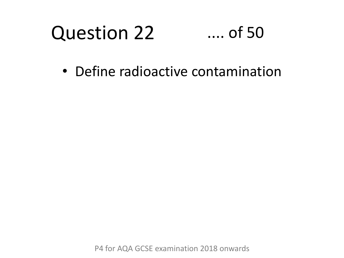#### Question 22 .... of 50

• Define radioactive contamination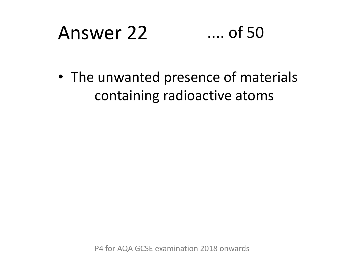# Answer 22 .... of 50

• The unwanted presence of materials containing radioactive atoms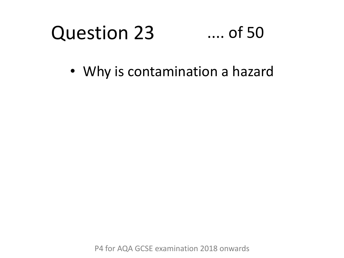#### Question 23 .... of 50

• Why is contamination a hazard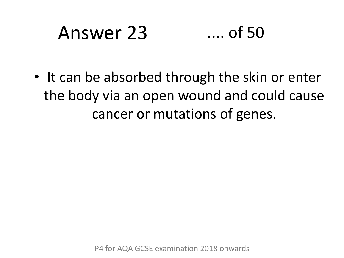# Answer 23 .... of 50

• It can be absorbed through the skin or enter the body via an open wound and could cause cancer or mutations of genes.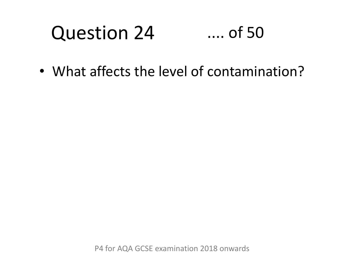#### Question 24 .... of 50

• What affects the level of contamination?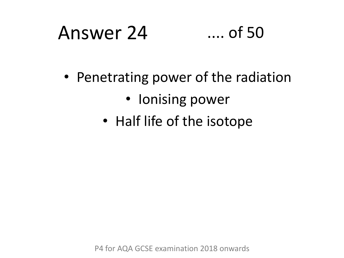# Answer 24 .... of 50

- Penetrating power of the radiation
	- Ionising power
	- Half life of the isotope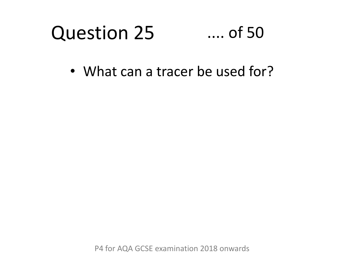#### Question 25 .... of 50

• What can a tracer be used for?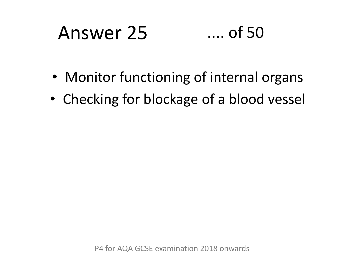# Answer 25 .... of 50

- Monitor functioning of internal organs
- Checking for blockage of a blood vessel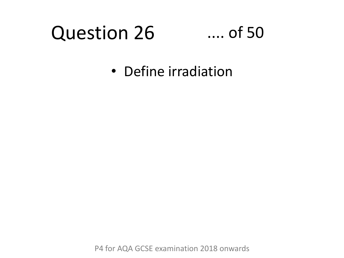### Question 26

#### .... of 50

• Define irradiation

P4 for AQA GCSE examination 2018 onwards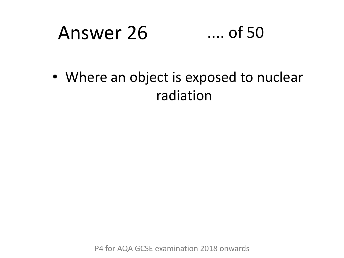## Answer 26 .... of 50

• Where an object is exposed to nuclear radiation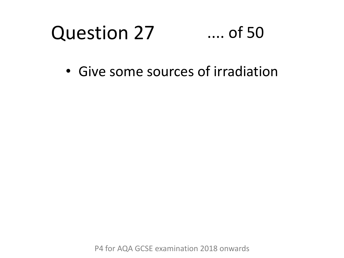#### Question 27 .... of 50

• Give some sources of irradiation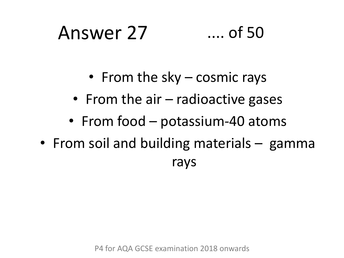## Answer 27 .... of 50

- From the sky cosmic rays
- From the air radioactive gases
- From food potassium-40 atoms
- From soil and building materials gamma rays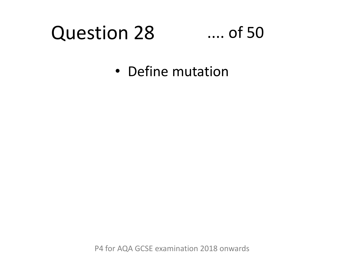### Question 28

#### .... of 50

• Define mutation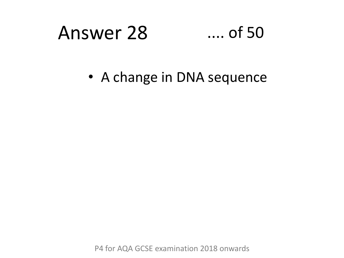## Answer 28 .... of 50

• A change in DNA sequence

P4 for AQA GCSE examination 2018 onwards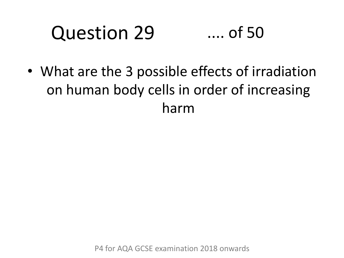#### Question 29 .... of 50

• What are the 3 possible effects of irradiation on human body cells in order of increasing harm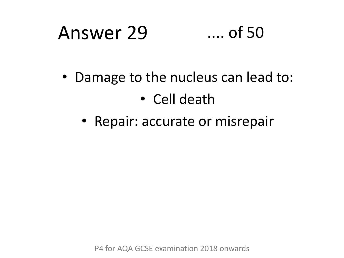### Answer 29 .... of 50

- Damage to the nucleus can lead to:
	- Cell death
	- Repair: accurate or misrepair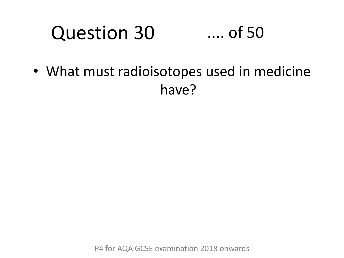#### Question 30 .... of 50

• What must radioisotopes used in medicine have?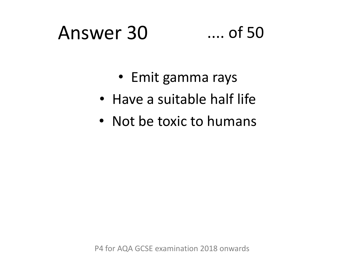### Answer 30 .... of 50

- Emit gamma rays
- Have a suitable half life
- Not be toxic to humans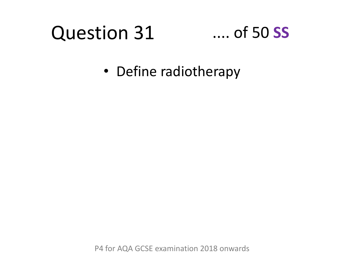### Question 31

#### .... of 50 **SS**

• Define radiotherapy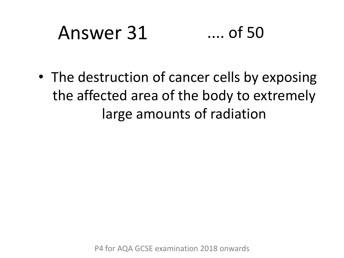# Answer 31 .... of 50

• The destruction of cancer cells by exposing the affected area of the body to extremely large amounts of radiation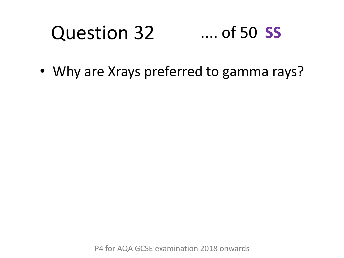#### Question 32 .... of 50 **SS**

• Why are Xrays preferred to gamma rays?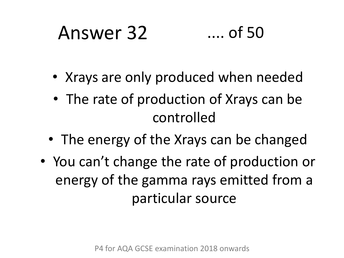# Answer 32 .... of 50

- Xrays are only produced when needed
- The rate of production of Xrays can be controlled
- The energy of the Xrays can be changed
- You can't change the rate of production or energy of the gamma rays emitted from a particular source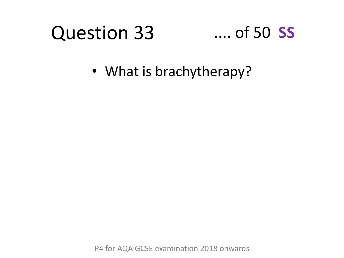### Question 33

#### .... of 50 **SS**

• What is brachytherapy?

P4 for AQA GCSE examination 2018 onwards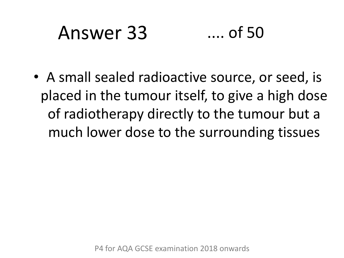# Answer 33 .... of 50

• A small sealed radioactive source, or seed, is placed in the tumour itself, to give a high dose of radiotherapy directly to the tumour but a much lower dose to the surrounding tissues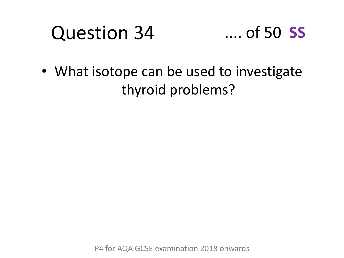### Question 34



• What isotope can be used to investigate thyroid problems?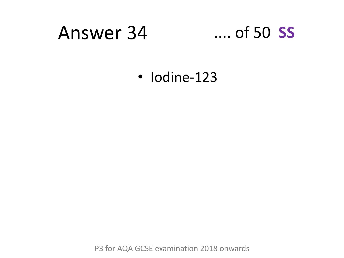#### Answer 34 .... of 50 **SS**

• Iodine-123

P3 for AQA GCSE examination 2018 onwards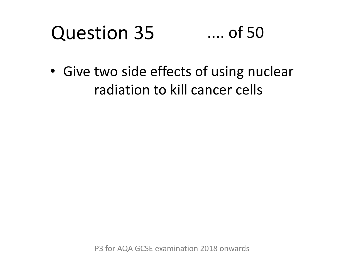#### Question 35 .... of 50

• Give two side effects of using nuclear radiation to kill cancer cells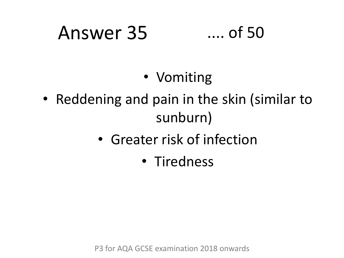# Answer 35 .... of 50

- Vomiting
- Reddening and pain in the skin (similar to sunburn)
	- Greater risk of infection
		- Tiredness

P3 for AQA GCSE examination 2018 onwards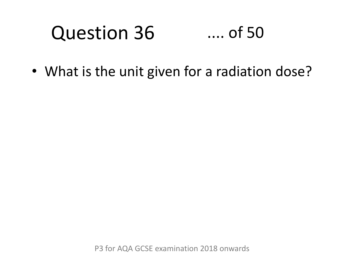#### Question 36 .... of 50

• What is the unit given for a radiation dose?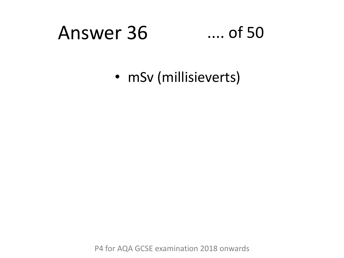### Answer 36 .... of 50

• mSv (millisieverts)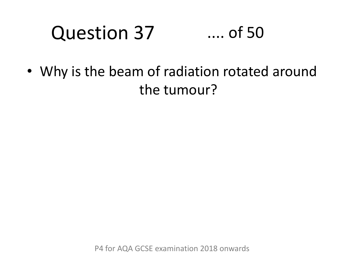### Question 37

#### .... of 50

• Why is the beam of radiation rotated around the tumour?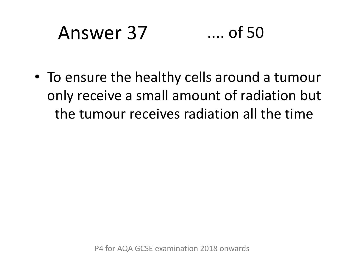# Answer 37 .... of 50

• To ensure the healthy cells around a tumour only receive a small amount of radiation but the tumour receives radiation all the time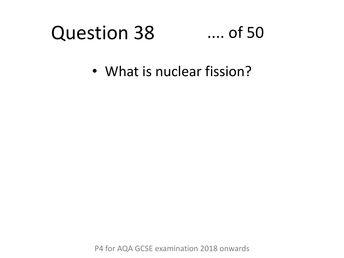#### Question 38 .... of 50

• What is nuclear fission?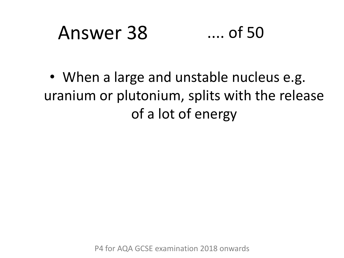### Answer 38 .... of 50

• When a large and unstable nucleus e.g. uranium or plutonium, splits with the release of a lot of energy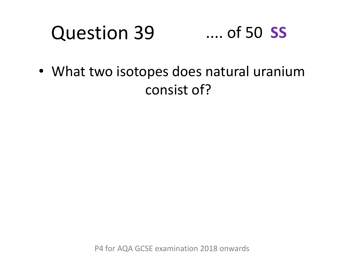#### Question 39 .... of 50 **SS**

• What two isotopes does natural uranium consist of?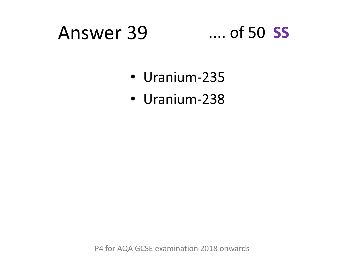#### Answer 39 .... of 50 **SS**

- Uranium-235
- Uranium-238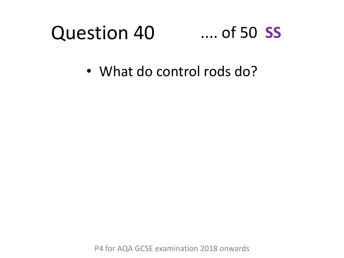#### Question 40 .... of 50 **SS**

• What do control rods do?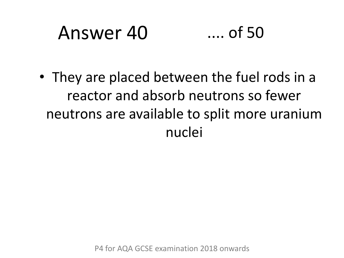### Answer 40 .... of 50

• They are placed between the fuel rods in a reactor and absorb neutrons so fewer neutrons are available to split more uranium nuclei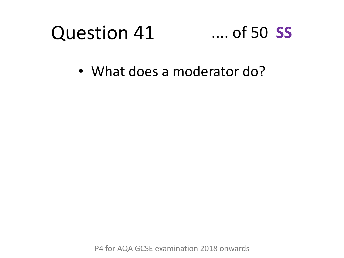#### Question 41 .... of 50 **SS**

• What does a moderator do?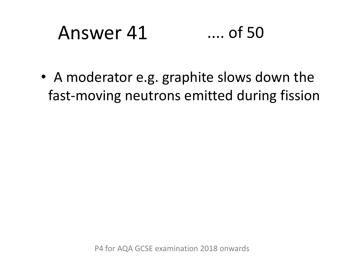### Answer 41 .... of 50

• A moderator e.g. graphite slows down the fast-moving neutrons emitted during fission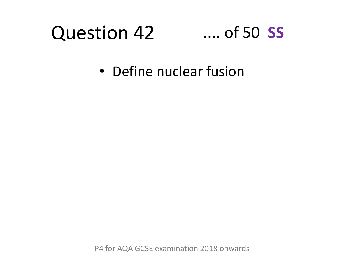#### Question 42 .... of 50 **SS**

• Define nuclear fusion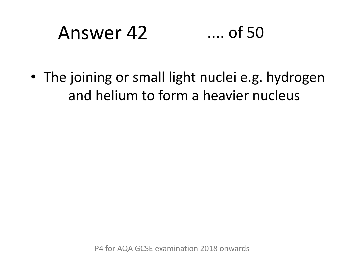### Answer 42 .... of 50

• The joining or small light nuclei e.g. hydrogen and helium to form a heavier nucleus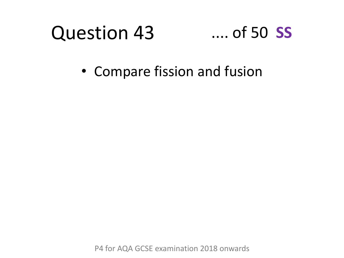#### Question 43

#### .... of 50 **SS**

• Compare fission and fusion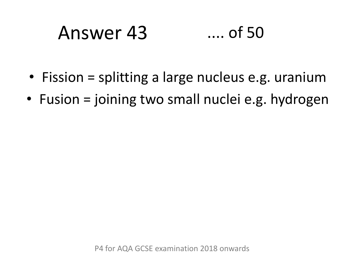### Answer 43 .... of 50

- Fission = splitting a large nucleus e.g. uranium
- Fusion = joining two small nuclei e.g. hydrogen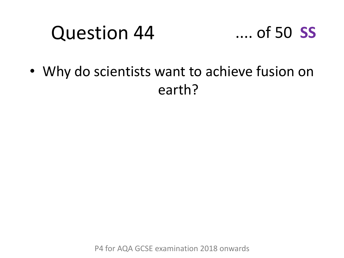#### Question 44



• Why do scientists want to achieve fusion on earth?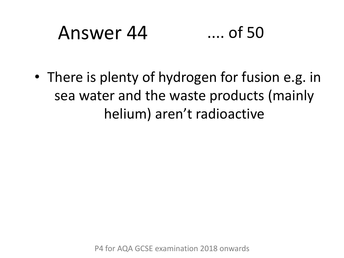### Answer 44 .... of 50

• There is plenty of hydrogen for fusion e.g. in sea water and the waste products (mainly helium) aren't radioactive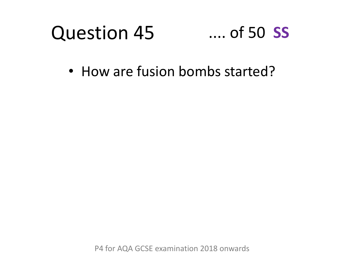#### Question 45 .... of 50 **SS**

• How are fusion bombs started?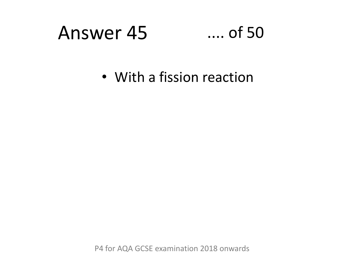### Answer 45 .... of 50

• With a fission reaction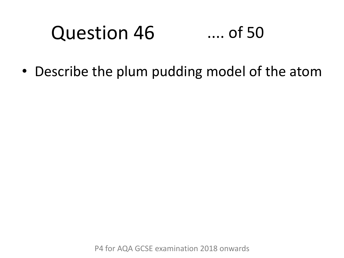#### Question 46 .... of 50

• Describe the plum pudding model of the atom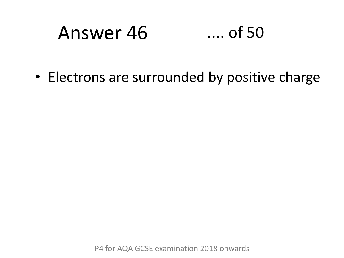### Answer 46 .... of 50

• Electrons are surrounded by positive charge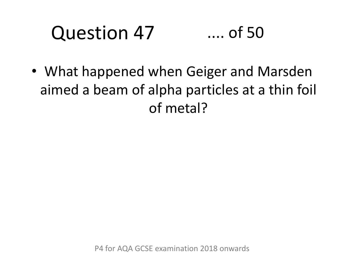#### Question 47 .... of 50

• What happened when Geiger and Marsden aimed a beam of alpha particles at a thin foil of metal?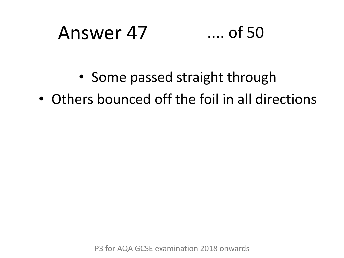# Answer 47 .... of 50

- Some passed straight through
- Others bounced off the foil in all directions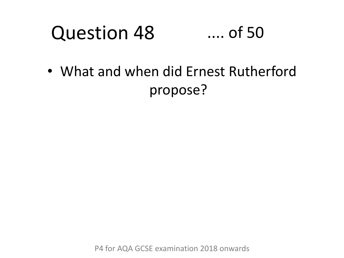#### Question 48 .... of 50

• What and when did Ernest Rutherford propose?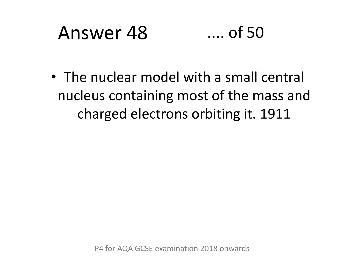### Answer 48 .... of 50

• The nuclear model with a small central nucleus containing most of the mass and charged electrons orbiting it. 1911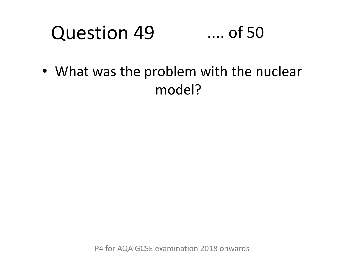#### Question 49 .... of 50

• What was the problem with the nuclear model?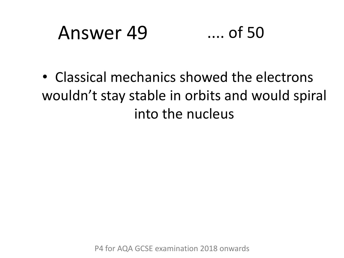### Answer 49 .... of 50

• Classical mechanics showed the electrons wouldn't stay stable in orbits and would spiral into the nucleus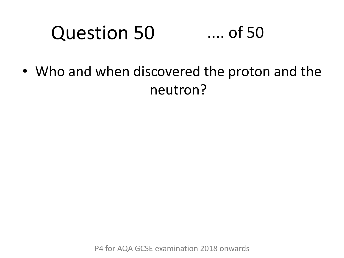#### Question 50 .... of 50

• Who and when discovered the proton and the neutron?